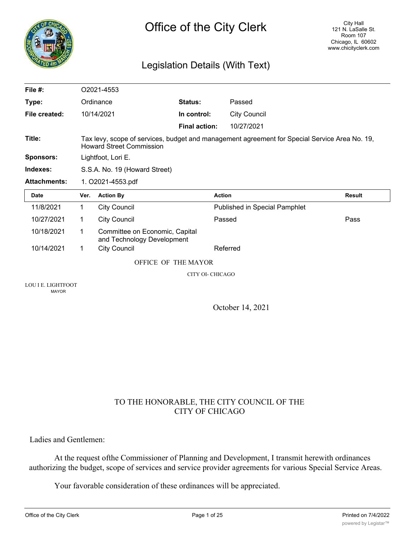

# Legislation Details (With Text)

| File $#$ :          |                                                                                                                                  | O2021-4553                                                   |                      |                                      |               |
|---------------------|----------------------------------------------------------------------------------------------------------------------------------|--------------------------------------------------------------|----------------------|--------------------------------------|---------------|
| Type:               |                                                                                                                                  | Ordinance                                                    | Status:              | Passed                               |               |
| File created:       |                                                                                                                                  | 10/14/2021                                                   | In control:          | <b>City Council</b>                  |               |
|                     |                                                                                                                                  |                                                              | <b>Final action:</b> | 10/27/2021                           |               |
| Title:              | Tax levy, scope of services, budget and management agreement for Special Service Area No. 19,<br><b>Howard Street Commission</b> |                                                              |                      |                                      |               |
| <b>Sponsors:</b>    |                                                                                                                                  | Lightfoot, Lori E.                                           |                      |                                      |               |
| Indexes:            |                                                                                                                                  | S.S.A. No. 19 (Howard Street)                                |                      |                                      |               |
| <b>Attachments:</b> | 1. O2021-4553.pdf                                                                                                                |                                                              |                      |                                      |               |
|                     |                                                                                                                                  |                                                              |                      |                                      |               |
| <b>Date</b>         | Ver.                                                                                                                             | <b>Action By</b>                                             | <b>Action</b>        |                                      | <b>Result</b> |
| 11/8/2021           | 1                                                                                                                                | <b>City Council</b>                                          |                      | <b>Published in Special Pamphlet</b> |               |
| 10/27/2021          | 1                                                                                                                                | <b>City Council</b>                                          | Passed               |                                      | Pass          |
| 10/18/2021          | 1.                                                                                                                               | Committee on Economic, Capital<br>and Technology Development |                      |                                      |               |
| 10/14/2021          | 1                                                                                                                                | <b>City Council</b>                                          |                      | Referred                             |               |
|                     |                                                                                                                                  | OFFICE OF THE MAYOR                                          |                      |                                      |               |
|                     |                                                                                                                                  |                                                              | CITY OI- CHICAGO     |                                      |               |

MAYOR

October 14, 2021

## TO THE HONORABLE, THE CITY COUNCIL OF THE CITY OF CHICAGO

Ladies and Gentlemen:

At the request ofthe Commissioner of Planning and Development, I transmit herewith ordinances authorizing the budget, scope of services and service provider agreements for various Special Service Areas.

Your favorable consideration of these ordinances will be appreciated.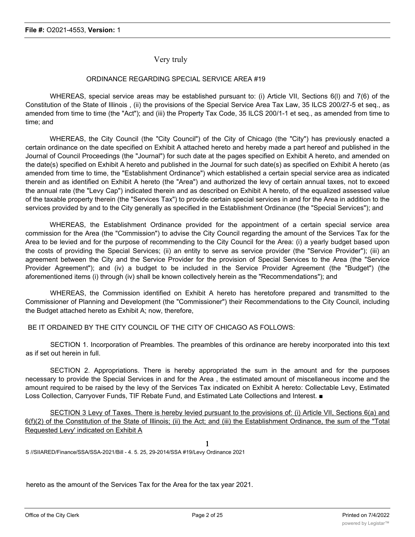#### Very truly

#### ORDINANCE REGARDING SPECIAL SERVICE AREA #19

WHEREAS, special service areas may be established pursuant to: (i) Article VII, Sections 6(l) and 7(6) of the Constitution of the State of Illinois , (ii) the provisions of the Special Service Area Tax Law, 35 ILCS 200/27-5 et seq., as amended from time to time (the "Act"); and (iii) the Property Tax Code, 35 ILCS 200/1-1 et seq., as amended from time to time; and

WHEREAS, the City Council (the "City Council") of the City of Chicago (the "City") has previously enacted a certain ordinance on the date specified on Exhibit A attached hereto and hereby made a part hereof and published in the Journal of Council Proceedings (the "Journal") for such date at the pages specified on Exhibit A hereto, and amended on the date(s) specified on Exhibit A hereto and published in the Journal for such date(s) as specified on Exhibit A hereto (as amended from time to time, the "Establishment Ordinance") which established a certain special service area as indicated therein and as identified on Exhibit A hereto (the "Area") and authorized the levy of certain annual taxes, not to exceed the annual rate (the "Levy Cap") indicated therein and as described on Exhibit A hereto, of the equalized assessed value of the taxable property therein (the "Services Tax") to provide certain special services in and for the Area in addition to the services provided by and to the City generally as specified in the Establishment Ordinance (the "Special Services"); and

WHEREAS, the Establishment Ordinance provided for the appointment of a certain special service area commission for the Area (the "Commission") to advise the City Council regarding the amount of the Services Tax for the Area to be levied and for the purpose of recommending to the City Council for the Area: (i) a yearly budget based upon the costs of providing the Special Services; (ii) an entity to serve as service provider (the "Service Provider"); (iii) an agreement between the City and the Service Provider for the provision of Special Services to the Area (the "Service Provider Agreement"); and (iv) a budget to be included in the Service Provider Agreement (the "Budget") (the aforementioned items (i) through (iv) shall be known collectively herein as the "Recommendations"); and

WHEREAS, the Commission identified on Exhibit A hereto has heretofore prepared and transmitted to the Commissioner of Planning and Development (the "Commissioner") their Recommendations to the City Council, including the Budget attached hereto as Exhibit A; now, therefore,

BE IT ORDAINED BY THE CITY COUNCIL OF THE CITY OF CHICAGO AS FOLLOWS:

SECTION 1. Incorporation of Preambles. The preambles of this ordinance are hereby incorporated into this text as if set out herein in full.

SECTION 2. Appropriations. There is hereby appropriated the sum in the amount and for the purposes necessary to provide the Special Services in and for the Area , the estimated amount of miscellaneous income and the amount required to be raised by the levy of the Services Tax indicated on Exhibit A hereto: Collectable Levy, Estimated Loss Collection, Carryover Funds, TIF Rebate Fund, and Estimated Late Collections and Interest. ■

SECTION 3 Levy of Taxes. There is hereby levied pursuant to the provisions of: (i) Article VII, Sections 6(a) and 6(f)(2) of the Constitution of the State of Illinois; (ii) the Act; and (iii) the Establishment Ordinance, the sum of the "Total Requested Levy' indicated on Exhibit A

1

S //SIIARED/Finance/SSA/SSA-2021/Bill - 4. 5. 25, 29-2014/SSA #19/Levy Ordinance 2021

hereto as the amount of the Services Tax for the Area for the tax year 2021.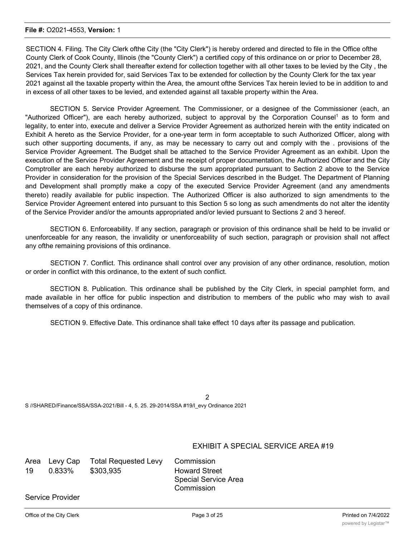SECTION 4. Filing. The City Clerk ofthe City (the "City Clerk") is hereby ordered and directed to file in the Office ofthe County Clerk of Cook County, Illinois (the "County Clerk") a certified copy of this ordinance on or prior to December 28, 2021, and the County Clerk shall thereafter extend for collection together with all other taxes to be levied by the City , the Services Tax herein provided for, said Services Tax to be extended for collection by the County Clerk for the tax year 2021 against all the taxable property within the Area, the amount ofthe Services Tax herein levied to be in addition to and in excess of all other taxes to be levied, and extended against all taxable property within the Area.

SECTION 5. Service Provider Agreement. The Commissioner, or a designee of the Commissioner (each, an "Authorized Officer"), are each hereby authorized, subject to approval by the Corporation Counsel<sup>1</sup> as to form and legality, to enter into, execute and deliver a Service Provider Agreement as authorized herein with the entity indicated on Exhibit A hereto as the Service Provider, for a one-year term in form acceptable to such Authorized Officer, along with such other supporting documents, if any, as may be necessary to carry out and comply with the . provisions of the Service Provider Agreement. The Budget shall be attached to the Service Provider Agreement as an exhibit. Upon the execution of the Service Provider Agreement and the receipt of proper documentation, the Authorized Officer and the City Comptroller are each hereby authorized to disburse the sum appropriated pursuant to Section 2 above to the Service Provider in consideration for the provision of the Special Services described in the Budget. The Department of Planning and Development shall promptly make a copy of the executed Service Provider Agreement (and any amendments thereto) readily available for public inspection. The Authorized Officer is also authorized to sign amendments to the Service Provider Agreement entered into pursuant to this Section 5 so long as such amendments do not alter the identity of the Service Provider and/or the amounts appropriated and/or levied pursuant to Sections 2 and 3 hereof.

SECTION 6. Enforceability. If any section, paragraph or provision of this ordinance shall be held to be invalid or unenforceable for any reason, the invalidity or unenforceability of such section, paragraph or provision shall not affect any ofthe remaining provisions of this ordinance.

SECTION 7. Conflict. This ordinance shall control over any provision of any other ordinance, resolution, motion or order in conflict with this ordinance, to the extent of such conflict.

SECTION 8. Publication. This ordinance shall be published by the City Clerk, in special pamphlet form, and made available in her office for public inspection and distribution to members of the public who may wish to avail themselves of a copy of this ordinance.

SECTION 9. Effective Date. This ordinance shall take effect 10 days after its passage and publication.

| S //SHARED/Finance/SSA/SSA-2021/Bill - 4, 5. 25. 29-2014/SSA #19/l evy Ordinance 2021 |  |  |
|---------------------------------------------------------------------------------------|--|--|

#### EXHIBIT A SPECIAL SERVICE AREA #19

|    | Area Levy Cap | Total Requested Levy Commission |                             |
|----|---------------|---------------------------------|-----------------------------|
| 19 | 0.833%        | \$303,935                       | <b>Howard Street</b>        |
|    |               |                                 | <b>Special Service Area</b> |
|    |               |                                 | Commission                  |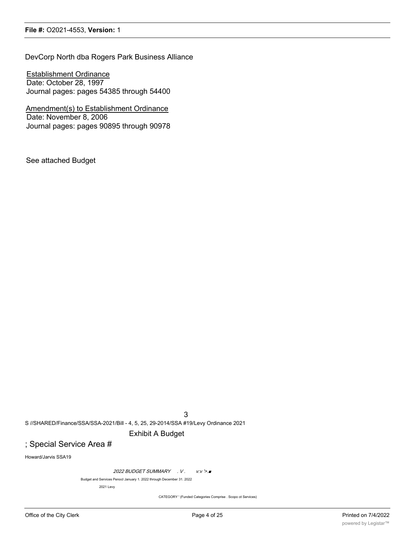DevCorp North dba Rogers Park Business Alliance

Establishment Ordinance Date: October 28, 1997 Journal pages: pages 54385 through 54400

Amendment(s) to Establishment Ordinance Date: November 8, 2006 Journal pages: pages 90895 through 90978

See attached Budget

3

S //SHARED/Finance/SSA/SSA-2021/Bill - 4, 5, 25, 29-2014/SSA #19/Levy Ordinance 2021

#### Exhibit A Budget

## ; Special Service Area #

Howard/Jarvis SSA19

2022 BUDGET SUMMARY . V. v:v'>.■

Budget and Services PenocI January 1. 2022 through December 31. 2022

2021 Levy

CATEGORY ' (Funded Categories Comprise . Scopo ot Services)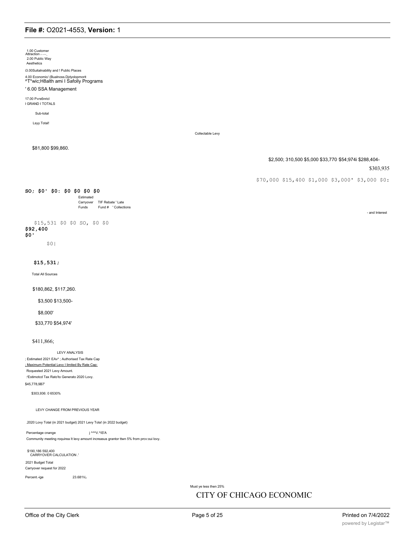1.00 Customer<br>Attraction 2.00 Public Way

Aesthetics

i3.00Suitalnability and ! Public Places

# 4.00 Economic/ (Bualnoss.Djdyolopmorit<br>^T\*wic;H8alth ami I Safolly Programs

#### ' 6.00 SSA Management

17.00 P«rs6nricl I GRAND I TOTALS

Sub-total

Lsyy Total!

Collectable Levy

\$81,800 \$99,860.

\$2,500; 310,500 \$5,000 \$33,770 \$54;974i \$288,404-

#### \$303,935

- and Interest

\$70,000 \$15,400 \$1,000 \$3,000' \$3,000 \$0:

#### SO; \$0' \$0: \$0 \$0 \$0 \$0

Estimated Carryover TIF Rebate ' Late Fund # 'Collections **Funds** 

\$15,531 \$0 \$0 SO, \$0 \$0 \$92,400  $$0'$ 

 $$0|$ 

 $$15,531;$ 

Total All Sources

#### \$180,862, \$117,260.

\$3,500 \$13,500-

\$8,000'

\$33,770 \$54,974'

\$411,866;

#### LEVY ANALYSIS

; Estimated 2021 EAv\* ; Authorised Tax Rate Cap ; Maximum Potential Levy I limited By Rate Cap: Roquested 2021 Levy Amount. :'Estimotod Tax Rato'to Generato 2020 Lovy. \$45,778,9B7

\$303.936: 0 6530%

LEVY CHANGE FROM PREVIOUS YEAR

.2020 Lovy Total (in 2021 budget) 2021 Levy Tola! (in 2022 budget)

23,681V<sub>0</sub>

Percentage cnange j ^^^V.^IS'A Community meeting roquirea It levy amount increasus grantor ttwn 5% from prov:oui lovy.

\$190,186 592,400<br>'. CARRYOVER CALCULATION

2021 Budget Total Carryover request for 2022

Percent.-ige

Must ye less then 25%

### CITY OF CHICAGO ECONOMIC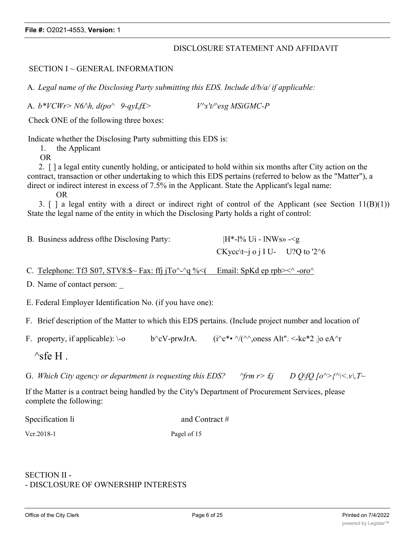### DISCLOSURE STATEMENT AND AFFIDAVIT

#### SECTION I ~ GENERAL INFORMATION

A. *Legal name of the Disclosing Party submitting this EDS. Include d/b/a/ if applicable:*

A. *b\*VCWr> N6/\h, d(po^ 9-qyLf£> V^s't/^esg MSiGMC-P*

Check ONE of the following three boxes:

Indicate whether the Disclosing Party submitting this EDS is:

1. the Applicant

OR

2. [ ] a legal entity cunently holding, or anticipated to hold within six months after City action on the contract, transaction or other undertaking to which this EDS pertains (referred to below as the "Matter"), a direct or indirect interest in excess of 7.5% in the Applicant. State the Applicant's legal name:

OR

3.  $\lceil$  a legal entity with a direct or indirect right of control of the Applicant (see Section 11(B)(1)) State the legal name of the entity in which the Disclosing Party holds a right of control:

| B. Business address of the Disclosing Party: | $ H^*$ -1% Ui - lNWs» - $\leq g$                |  |  |
|----------------------------------------------|-------------------------------------------------|--|--|
|                                              | CKycc $\text{tr}$ o i I U- U?Q to '2 $\text{6}$ |  |  |

C. Telephone: Tf3 S07, STV8:\$~ Fax: ffj jTo^-^q %<( Email: SpKd ep rpb><^ -oro^

D. Name of contact person:

E. Federal Employer Identification No. (if you have one):

F. Brief description of the Matter to which this EDS pertains. (Include project number and location of

F. property, if applicable):  $\sim$  b^cV-prwJrA. (i^c\*•  $\sim$ /(^^,oness Alt". <-kc\*2 ;|o eA^r

 $\wedge$ sfe H .

G. Which City agency or department is requesting this EDS?  $\gamma$ frm  $r > \epsilon_j$  D Q\fQ  $\lceil o^{\wedge} \rangle$  { $\wedge$  \cdots, T \cdots

If the Matter is a contract being handled by the City's Department of Procurement Services, please complete the following:

Specification li and Contract #

Vcr.2018-1 Pagel of 15

## SECTION II - - DISCLOSURE OF OWNERSHIP INTERESTS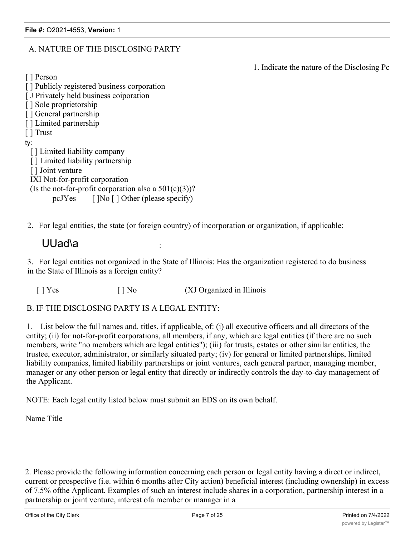## A. NATURE OF THE DISCLOSING PARTY

1. Indicate the nature of the Disclosing Pc

[ ] Person

- [ ] Publicly registered business corporation
- [ J Privately held business coiporation
- [ ] Sole proprietorship
- [ ] General partnership
- [ ] Limited partnership
- [ ] Trust

ty:

- [ ] Limited liability company
- [ ] Limited liability partnership
- [ ] Joint venture
- IXI Not-for-profit corporation
- (Is the not-for-profit corporation also a  $501(c)(3)$ )? pcJYes  $\left[ \begin{array}{cc} \text{No} \end{array} \right]$  Other (please specify)

2. For legal entities, the state (or foreign country) of incorporation or organization, if applicable:

# UUad\a

3. For legal entities not organized in the State of Illinois: Has the organization registered to do business in the State of Illinois as a foreign entity?

[ ] Yes [ ] No (XJ Organized in Illinois

B. IF THE DISCLOSING PARTY IS A LEGAL ENTITY:

1. List below the full names and. titles, if applicable, of: (i) all executive officers and all directors of the entity; (ii) for not-for-profit corporations, all members, if any, which are legal entities (if there are no such members, write "no members which are legal entities"); (iii) for trusts, estates or other similar entities, the trustee, executor, administrator, or similarly situated party; (iv) for general or limited partnerships, limited liability companies, limited liability partnerships or joint ventures, each general partner, managing member, manager or any other person or legal entity that directly or indirectly controls the day-to-day management of the Applicant.

NOTE: Each legal entity listed below must submit an EDS on its own behalf.

Name Title

2. Please provide the following information concerning each person or legal entity having a direct or indirect, current or prospective (i.e. within 6 months after City action) beneficial interest (including ownership) in excess of 7.5% ofthe Applicant. Examples of such an interest include shares in a corporation, partnership interest in a partnership or joint venture, interest ofa member or manager in a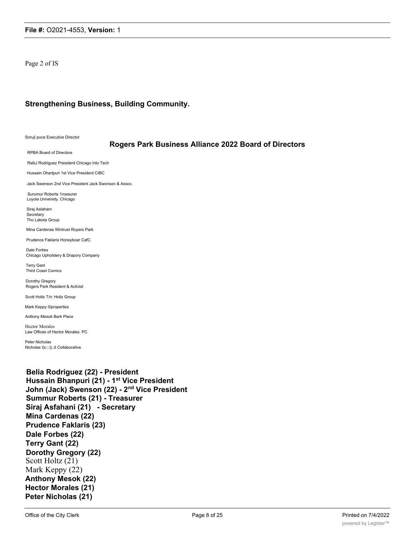Page 2 of IS

#### **Strengthening Business, Building Community.**

Snruji puce Executive Director

#### **Rogers Park Business Alliance 2022 Board of Directors**

RPBA Board of Directors

ReliiJ Rodriguez President Chicago Inlo Tech

Hussain Ohartpuri 1st Vice President CIBC

Jack Swenson 2nd Vice President Jack Swonson & Assoc.

Surumur Roberts 1roasurer Loyola University. Chicago

Siraj Aslaharn Secretary Tho Lakota Group

Mina Cardenas Wintrust Royers Park

Prudence Faklaris Honeyboar CafC

Dale Forties Chicago Upholstery & Drapory Company

Terry Ganl Third Coast Comics

Dorothy Gregory Rogers Park Resident & Activist

Scott Holtz T/n: Hollz Group

Mark Keppy ©properties

Anlliony Mesok Bark Place

Hector Morales Law Offices of Hector Morales. PC

Peler Nicholas Nicholas t)c:::i}.;it Collaborative

**Belia Rodriguez (22) - President Hussain Bhanpuri (21) - 1st Vice President John (Jack) Swenson (22) - 2nd Vice President Summur Roberts (21) - Treasurer Siraj Asfahani (21) - Secretary Mina Cardenas (22) Prudence Faklaris (23) Dale Forbes (22) Terry Gant (22) Dorothy Gregory (22)** Scott Holtz (21) Mark Keppy (22) **Anthony Mesok (22) Hector Morales (21) Peter Nicholas (21)**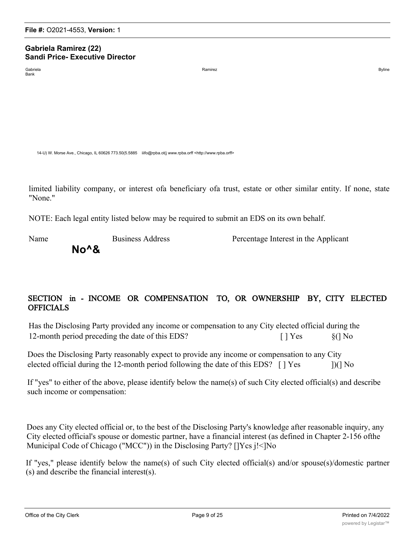#### **Gabriela Ramirez (22) Sandi Price- Executive Director**

Bank

Gabriela Ramirez and Superior and Superior Controller Ramirez and Superior Controller and Superior Controller Byline

14-U) W. Morse Ave., Chicago, IL 60626 773.50(5.5885 iiifo@rpba.ot(j www.rpba.orff <http://www.rpba.orff>

limited liability company, or interest ofa beneficiary ofa trust, estate or other similar entity. If none, state "None."

NOTE: Each legal entity listed below may be required to submit an EDS on its own behalf.

**No^&**

Name Business Address Percentage Interest in the Applicant

# SECTION in - INCOME OR COMPENSATION TO, OR OWNERSHIP BY, CITY ELECTED **OFFICIALS**

Has the Disclosing Party provided any income or compensation to any City elected official during the 12-month period preceding the date of this EDS? [ ] Yes §(] No

Does the Disclosing Party reasonably expect to provide any income or compensation to any City elected official during the 12-month period following the date of this EDS?  $\int$  | Yes ])(] No

If "yes" to either of the above, please identify below the name(s) of such City elected official(s) and describe such income or compensation:

Does any City elected official or, to the best of the Disclosing Party's knowledge after reasonable inquiry, any City elected official's spouse or domestic partner, have a financial interest (as defined in Chapter 2-156 ofthe Municipal Code of Chicago ("MCC")) in the Disclosing Party? []Ycs j!<]No

If "yes," please identify below the name(s) of such City elected official(s) and/or spouse(s)/domestic partner (s) and describe the financial interest(s).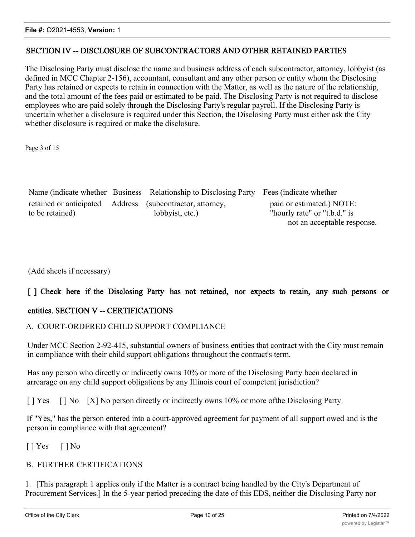## SECTION IV -- DISCLOSURE OF SUBCONTRACTORS AND OTHER RETAINED PARTIES

The Disclosing Party must disclose the name and business address of each subcontractor, attorney, lobbyist (as defined in MCC Chapter 2-156), accountant, consultant and any other person or entity whom the Disclosing Party has retained or expects to retain in connection with the Matter, as well as the nature of the relationship, and the total amount of the fees paid or estimated to be paid. The Disclosing Party is not required to disclose employees who are paid solely through the Disclosing Party's regular payroll. If the Disclosing Party is uncertain whether a disclosure is required under this Section, the Disclosing Party must either ask the City whether disclosure is required or make the disclosure.

Page 3 of 15

|                                                           | Name (indicate whether Business Relationship to Disclosing Party Fees (indicate whether |                              |
|-----------------------------------------------------------|-----------------------------------------------------------------------------------------|------------------------------|
| retained or anticipated Address (subcontractor, attorney, |                                                                                         | paid or estimated.) NOTE:    |
| to be retained)                                           | lobbyist, etc.)                                                                         | "hourly rate" or "t.b.d." is |
|                                                           |                                                                                         | not an acceptable response.  |

(Add sheets if necessary)

## [] Check here if the Disclosing Party has not retained, nor expects to retain, any such persons or

## entities. SECTION V -- CERTIFICATIONS

### A. COURT-ORDERED CHILD SUPPORT COMPLIANCE

Under MCC Section 2-92-415, substantial owners of business entities that contract with the City must remain in compliance with their child support obligations throughout the contract's term.

Has any person who directly or indirectly owns 10% or more of the Disclosing Party been declared in arrearage on any child support obligations by any Illinois court of competent jurisdiction?

[ ] Yes [ ] No [X] No person directly or indirectly owns 10% or more of the Disclosing Party.

If "Yes," has the person entered into a court-approved agreement for payment of all support owed and is the person in compliance with that agreement?

 $[$   $]$  Yes  $[$   $]$  No

## B. FURTHER CERTIFICATIONS

1. [This paragraph 1 applies only if the Matter is a contract being handled by the City's Department of Procurement Services.] In the 5-year period preceding the date of this EDS, neither die Disclosing Party nor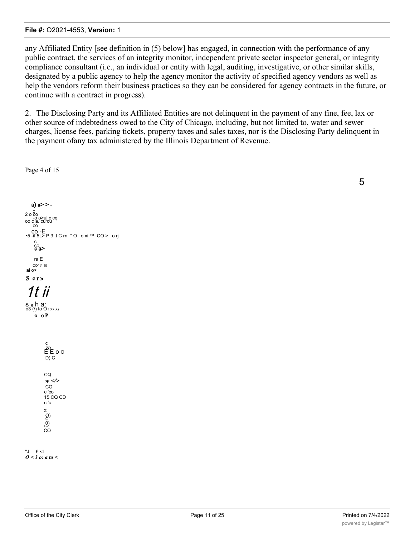any Affiliated Entity [see definition in (5) below] has engaged, in connection with the performance of any public contract, the services of an integrity monitor, independent private sector inspector general, or integrity compliance consultant (i.e., an individual or entity with legal, auditing, investigative, or other similar skills, designated by a public agency to help the agency monitor the activity of specified agency vendors as well as help the vendors reform their business practices so they can be considered for agency contracts in the future, or continue with a contract in progress).

2. The Disclosing Party and its Affiliated Entities are not delinquent in the payment of any fine, fee, lax or other source of indebtedness owed to the City of Chicago, including, but not limited to, water and sewer charges, license fees, parking tickets, property taxes and sales taxes, nor is the Disclosing Party delinquent in the payment of any tax administered by the Illinois Department of Revenue.

Page 4 of 15



5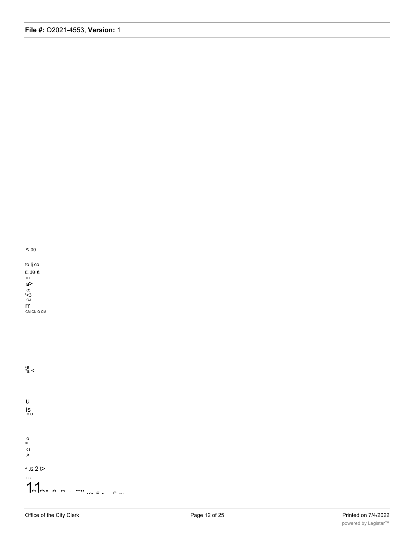

to Ij co  $r:$  ro a TD TD<br> **a**<br>
C:<br>
C:<br>
CM<br>
CM<br>
CM<br>
CM<br>
CM<br>
CM<br>
CM<br>
CM

 $a_a$  <

 $\sf u$ is<br>co  $\begin{array}{c}\n0 \\
x_1 \\
01 \\
\end{array}$  $^{\wedge}$  J2 2 t>  $\frac{1}{2}$  $1.1$  $\mathbf{m}_{\mathbf{H}}^{\mathbf{H}}\left( \mathbf{w},\mathbf{E}\right) \mathbf{w}=\mathbf{0}^{\mathbf{H}}\mathbf{w}$ <sub>n</sub>  $\sim$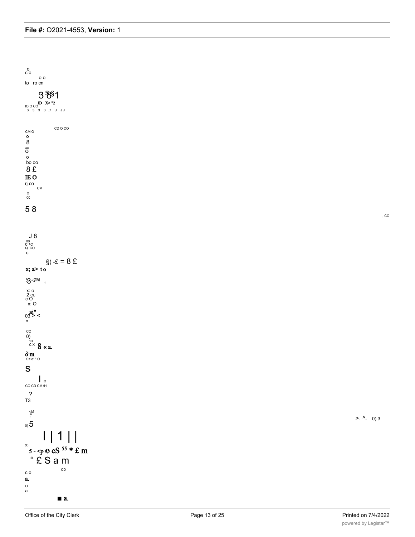

,  $CO$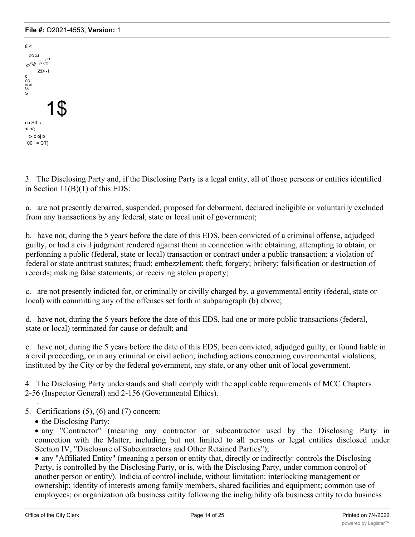```
E <
   CO XJ_ , e x><sup><</sup>طة i/> co
       ZZ> -1
c
CO
ro qj<br>OJ<br>>
              1$
cu S3 c
\lt \lt:
 c- c oj b
 00 = CT)
```
3. The Disclosing Party and, if the Disclosing Party is a legal entity, all of those persons or entities identified in Section 11(B)(1) of this EDS:

a. are not presently debarred, suspended, proposed for debarment, declared ineligible or voluntarily excluded from any transactions by any federal, state or local unit of government;

b. have not, during the 5 years before the date of this EDS, been convicted of a criminal offense, adjudged guilty, or had a civil judgment rendered against them in connection with: obtaining, attempting to obtain, or perfonning a public (federal, state or local) transaction or contract under a public transaction; a violation of federal or state antitrust statutes; fraud; embezzlement; theft; forgery; bribery; falsification or destruction of records; making false statements; or receiving stolen property;

c. are not presently indicted for, or criminally or civilly charged by, a governmental entity (federal, state or local) with committing any of the offenses set forth in subparagraph (b) above;

d. have not, during the 5 years before the date of this EDS, had one or more public transactions (federal, state or local) terminated for cause or default; and

e. have not, during the 5 years before the date of this EDS, been convicted, adjudged guilty, or found liable in a civil proceeding, or in any criminal or civil action, including actions concerning environmental violations, instituted by the City or by the federal government, any state, or any other unit of local government.

4. The Disclosing Party understands and shall comply with the applicable requirements of MCC Chapters 2-56 (Inspector General) and 2-156 (Governmental Ethics).

- T 5. Certifications (5), (6) and (7) concern:
	- the Disclosing Party;

· any "Contractor" (meaning any contractor or subcontractor used by the Disclosing Party in connection with the Matter, including but not limited to all persons or legal entities disclosed under Section IV, "Disclosure of Subcontractors and Other Retained Parties");

· any "Affiliated Entity" (meaning a person or entity that, directly or indirectly: controls the Disclosing Party, is controlled by the Disclosing Party, or is, with the Disclosing Party, under common control of another person or entity). Indicia of control include, without limitation: interlocking management or ownership; identity of interests among family members, shared facilities and equipment; common use of employees; or organization ofa business entity following the ineligibility ofa business entity to do business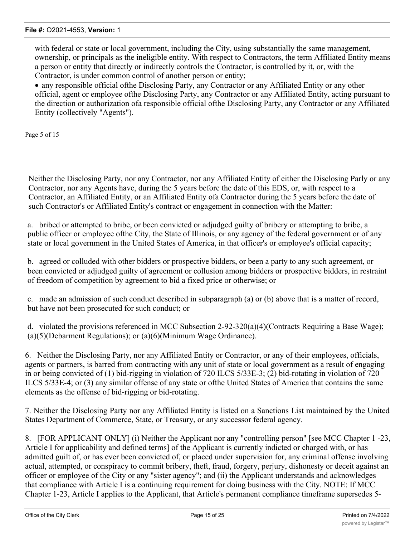with federal or state or local government, including the City, using substantially the same management, ownership, or principals as the ineligible entity. With respect to Contractors, the term Affiliated Entity means a person or entity that directly or indirectly controls the Contractor, is controlled by it, or, with the Contractor, is under common control of another person or entity;

· any responsible official ofthe Disclosing Party, any Contractor or any Affiliated Entity or any other official, agent or employee ofthe Disclosing Party, any Contractor or any Affiliated Entity, acting pursuant to the direction or authorization ofa responsible official ofthe Disclosing Party, any Contractor or any Affiliated Entity (collectively "Agents").

Page 5 of 15

Neither the Disclosing Party, nor any Contractor, nor any Affiliated Entity of either the Disclosing Parly or any Contractor, nor any Agents have, during the 5 years before the date of this EDS, or, with respect to a Contractor, an Affiliated Entity, or an Affiliated Entity ofa Contractor during the 5 years before the date of such Contractor's or Affiliated Entity's contract or engagement in connection with the Matter:

a. bribed or attempted to bribe, or been convicted or adjudged guilty of bribery or attempting to bribe, a public officer or employee ofthe City, the State of Illinois, or any agency of the federal government or of any state or local government in the United States of America, in that officer's or employee's official capacity;

b. agreed or colluded with other bidders or prospective bidders, or been a party to any such agreement, or been convicted or adjudged guilty of agreement or collusion among bidders or prospective bidders, in restraint of freedom of competition by agreement to bid a fixed price or otherwise; or

c. made an admission of such conduct described in subparagraph (a) or (b) above that is a matter of record, but have not been prosecuted for such conduct; or

d. violated the provisions referenced in MCC Subsection 2-92-320(a)(4)(Contracts Requiring a Base Wage); (a)(5)(Debarment Regulations); or (a)(6)(Minimum Wage Ordinance).

6. Neither the Disclosing Party, nor any Affiliated Entity or Contractor, or any of their employees, officials, agents or partners, is barred from contracting with any unit of state or local government as a result of engaging in or being convicted of (1) bid-rigging in violation of 720 ILCS 5/33E-3; (2) bid-rotating in violation of 720 ILCS 5/33E-4; or (3) any similar offense of any state or ofthe United States of America that contains the same elements as the offense of bid-rigging or bid-rotating.

7. Neither the Disclosing Party nor any Affiliated Entity is listed on a Sanctions List maintained by the United States Department of Commerce, State, or Treasury, or any successor federal agency.

8. [FOR APPLICANT ONLY] (i) Neither the Applicant nor any "controlling person" [see MCC Chapter 1 -23, Article I for applicability and defined terms] of the Applicant is currently indicted or charged with, or has admitted guilt of, or has ever been convicted of, or placed under supervision for, any criminal offense involving actual, attempted, or conspiracy to commit bribery, theft, fraud, forgery, perjury, dishonesty or deceit against an officer or employee of the City or any "sister agency"; and (ii) the Applicant understands and acknowledges that compliance with Article I is a continuing requirement for doing business with the City. NOTE: If MCC Chapter 1-23, Article I applies to the Applicant, that Article's permanent compliance timeframe supersedes 5-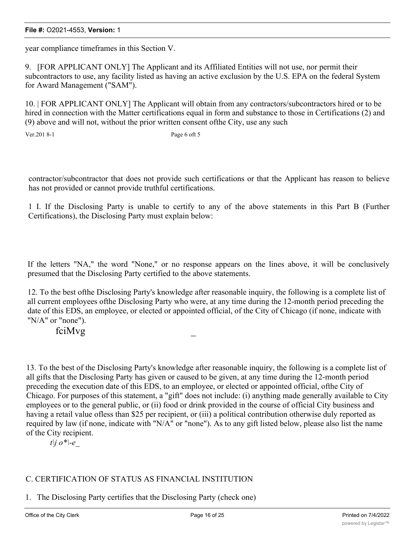year compliance timeframes in this Section V.

9. [FOR APPLICANT ONLY] The Applicant and its Affiliated Entities will not use, nor permit their subcontractors to use, any facility listed as having an active exclusion by the U.S. EPA on the federal System for Award Management ("SAM").

10. | FOR APPLICANT ONLY] The Applicant will obtain from any contractors/subcontractors hired or to be hired in connection with the Matter certifications equal in form and substance to those in Certifications (2) and (9) above and will not, without the prior written consent ofthe City, use any such

Ver. 201 8-1 Page 6 oft 5

contractor/subcontractor that does not provide such certifications or that the Applicant has reason to believe has not provided or cannot provide truthful certifications.

1 I. If the Disclosing Party is unable to certify to any of the above statements in this Part B (Further Certifications), the Disclosing Party must explain below:

If the letters "NA," the word "None," or no response appears on the lines above, it will be conclusively presumed that the Disclosing Party certified to the above statements.

12. To the best ofthe Disclosing Party's knowledge after reasonable inquiry, the following is a complete list of all current employees ofthe Disclosing Party who were, at any time during the 12-month period preceding the date of this EDS, an employee, or elected or appointed official, of the City of Chicago (if none, indicate with "N/A" or "none").

fciMvg

13. To the best of the Disclosing Party's knowledge after reasonable inquiry, the following is a complete list of all gifts that the Disclosing Party has given or caused to be given, at any time during the 12-month period preceding the execution date of this EDS, to an employee, or elected or appointed official, ofthe City of Chicago. For purposes of this statement, a "gift" does not include: (i) anything made generally available to City employees or to the general public, or (ii) food or drink provided in the course of official City business and having a retail value ofless than \$25 per recipient, or (iii) a political contribution otherwise duly reported as required by law (if none, indicate with "N/A" or "none"). As to any gift listed below, please also list the name of the City recipient.

*t\j o*\*\-e

## C. CERTIFICATION OF STATUS AS FINANCIAL INSTITUTION

1. The Disclosing Party certifies that the Disclosing Party (check one)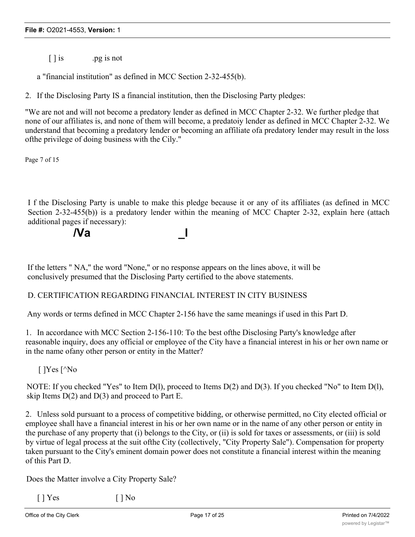[ ] is .pg is not

a "financial institution" as defined in MCC Section 2-32-455(b).

**/Va \_l**

2. If the Disclosing Party IS a financial institution, then the Disclosing Party pledges:

"We are not and will not become a predatory lender as defined in MCC Chapter 2-32. We further pledge that none of our affiliates is, and none of them will become, a predatoiy lender as defined in MCC Chapter 2-32. We understand that becoming a predatory lender or becoming an affiliate ofa predatory lender may result in the loss ofthe privilege of doing business with the Cily."

Page 7 of 15

I f the Disclosing Party is unable to make this pledge because it or any of its affiliates (as defined in MCC Section 2-32-455(b)) is a predatory lender within the meaning of MCC Chapter 2-32, explain here (attach additional pages if necessary):

If the letters " NA," the word "None," or no response appears on the lines above, it will be conclusively presumed that the Disclosing Party certified to the above statements.

### D. CERTIFICATION REGARDING FINANCIAL INTEREST IN CITY BUSINESS

Any words or terms defined in MCC Chapter 2-156 have the same meanings if used in this Part D.

1. In accordance with MCC Section 2-156-110: To the best ofthe Disclosing Party's knowledge after reasonable inquiry, does any official or employee of the City have a financial interest in his or her own name or in the name ofany other person or entity in the Matter?

[ ]Yes [^No

NOTE: If you checked "Yes" to Item D(l), proceed to Items D(2) and D(3). If you checked "No" to Item D(l), skip Items  $D(2)$  and  $D(3)$  and proceed to Part E.

2. Unless sold pursuant to a process of competitive bidding, or otherwise permitted, no City elected official or employee shall have a financial interest in his or her own name or in the name of any other person or entity in the purchase of any property that (i) belongs to the City, or (ii) is sold for taxes or assessments, or (iii) is sold by virtue of legal process at the suit ofthe City (collectively, "City Property Sale"). Compensation for property taken pursuant to the City's eminent domain power does not constitute a financial interest within the meaning of this Part D.

Does the Matter involve a City Property Sale?

 $\lceil \cdot \rceil$  Yes  $\lceil \cdot \rceil$  No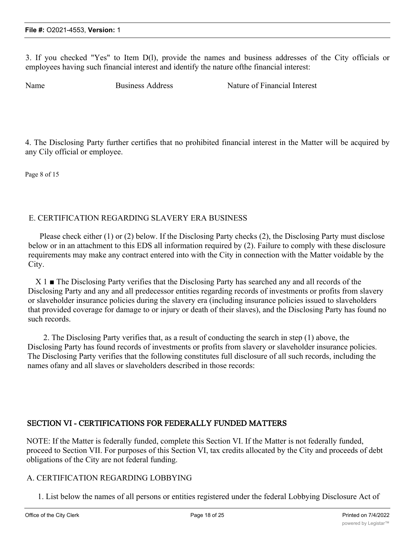3. If you checked "Yes" to Item D(l), provide the names and business addresses of the City officials or employees having such financial interest and identify the nature ofthe financial interest:

Name Business Address Nature of Financial Interest

4. The Disclosing Party further certifies that no prohibited financial interest in the Matter will be acquired by any Cily official or employee.

Page 8 of 15

## E. CERTIFICATION REGARDING SLAVERY ERA BUSINESS

Please check either (1) or (2) below. If the Disclosing Party checks (2), the Disclosing Party must disclose below or in an attachment to this EDS all information required by (2). Failure to comply with these disclosure requirements may make any contract entered into with the City in connection with the Matter voidable by the City.

X 1 ■ The Disclosing Party verifies that the Disclosing Party has searched any and all records of the Disclosing Party and any and all predecessor entities regarding records of investments or profits from slavery or slaveholder insurance policies during the slavery era (including insurance policies issued to slaveholders that provided coverage for damage to or injury or death of their slaves), and the Disclosing Party has found no such records.

2. The Disclosing Party verifies that, as a result of conducting the search in step (1) above, the Disclosing Party has found records of investments or profits from slavery or slaveholder insurance policies. The Disclosing Party verifies that the following constitutes full disclosure of all such records, including the names ofany and all slaves or slaveholders described in those records:

## SECTION VI - CERTIFICATIONS FOR FEDERALLY FUNDED MATTERS

NOTE: If the Matter is federally funded, complete this Section VI. If the Matter is not federally funded, proceed to Section VII. For purposes of this Section VI, tax credits allocated by the City and proceeds of debt obligations of the City are not federal funding.

### A. CERTIFICATION REGARDING LOBBYING

1. List below the names of all persons or entities registered under the federal Lobbying Disclosure Act of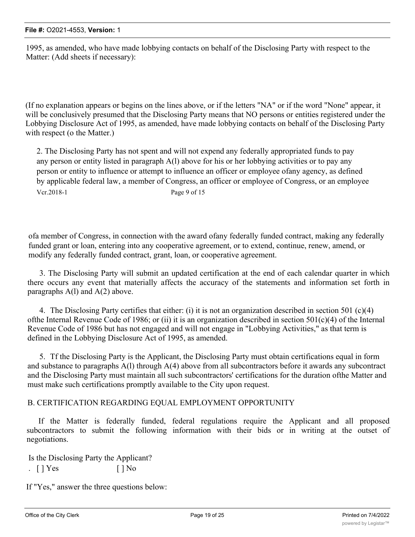1995, as amended, who have made lobbying contacts on behalf of the Disclosing Party with respect to the Matter: (Add sheets if necessary):

(If no explanation appears or begins on the lines above, or if the letters "NA" or if the word "None" appear, it will be conclusively presumed that the Disclosing Party means that NO persons or entities registered under the Lobbying Disclosure Act of 1995, as amended, have made lobbying contacts on behalf of the Disclosing Party with respect (o the Matter.)

2. The Disclosing Party has not spent and will not expend any federally appropriated funds to pay any person or entity listed in paragraph A(l) above for his or her lobbying activities or to pay any person or entity to influence or attempt to influence an officer or employee ofany agency, as defined by applicable federal law, a member of Congress, an officer or employee of Congress, or an employee Vcr.2018-1 Page 9 of 15

ofa member of Congress, in connection with the award ofany federally funded contract, making any federally funded grant or loan, entering into any cooperative agreement, or to extend, continue, renew, amend, or modify any federally funded contract, grant, loan, or cooperative agreement.

3. The Disclosing Party will submit an updated certification at the end of each calendar quarter in which there occurs any event that materially affects the accuracy of the statements and information set forth in paragraphs  $A(1)$  and  $A(2)$  above.

4. The Disclosing Party certifies that either: (i) it is not an organization described in section 501 (c)(4) of the Internal Revenue Code of 1986; or (ii) it is an organization described in section  $501(c)(4)$  of the Internal Revenue Code of 1986 but has not engaged and will not engage in "Lobbying Activities," as that term is defined in the Lobbying Disclosure Act of 1995, as amended.

5. Tf the Disclosing Party is the Applicant, the Disclosing Party must obtain certifications equal in form and substance to paragraphs A(l) through A(4) above from all subcontractors before it awards any subcontract and the Disclosing Party must maintain all such subcontractors' certifications for the duration ofthe Matter and must make such certifications promptly available to the City upon request.

### B. CERTIFICATION REGARDING EQUAL EMPLOYMENT OPPORTUNITY

If the Matter is federally funded, federal regulations require the Applicant and all proposed subcontractors to submit the following information with their bids or in writing at the outset of negotiations.

Is the Disclosing Party the Applicant? .  $[$  |  $Yes$   $[$  |  $No$ 

If "Yes," answer the three questions below: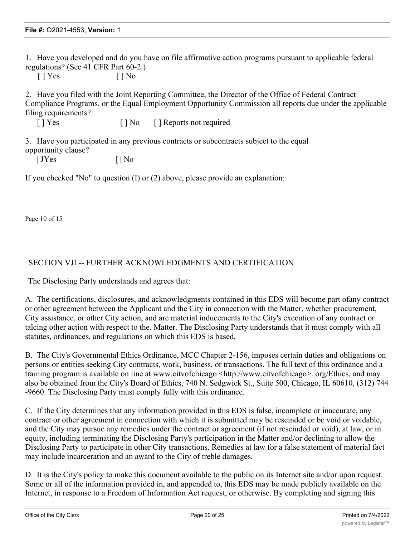1. Have you developed and do you have on file affirmative action programs pursuant to applicable federal regulations? (See 41 CFR Part 60-2.)

 $[ ]$  Yes  $[ ]$  No

2. Have you filed with the Joint Reporting Committee, the Director of the Office of Federal Contract Compliance Programs, or the Equal Employment Opportunity Commission all reports due under the applicable filing requirements?

[ ] Yes [ ] No [ ] Reports not required

3. Have you participated in any previous contracts or subcontracts subject to the equal opportunity clause?

| JYes [ | No

If you checked "No" to question (I) or (2) above, please provide an explanation:

Page 10 of 15

## SECTION VJI -- FURTHER ACKNOWLEDGMENTS AND CERTIFICATION

The Disclosing Party understands and agrees that:

A. The certifications, disclosures, and acknowledgments contained in this EDS will become part ofany contract or other agreement between the Applicant and the City in connection with the Matter, whether procurement, City assistance, or other City action, and are material inducements to the City's execution of any contract or talcing other action with respect to the. Matter. The Disclosing Party understands that it must comply with all statutes, ordinances, and regulations on which this EDS is based.

B. The City's Governmental Ethics Ordinance, MCC Chapter 2-156, imposes certain duties and obligations on persons or entities seeking City contracts, work, business, or transactions. The full text of this ordinance and a training program is available on line at www.citvofchicago <http://www.citvofchicago>. org/Ethics, and may also be obtained from the City's Board of Ethics, 740 N. Sedgwick St., Suite 500, Chicago, IL 60610, (312) 744 -9660. The Disclosing Party must comply fully with this ordinance.

C. If the City determines that any information provided in this EDS is false, incomplete or inaccurate, any contract or other agreement in connection with which it is submitted may be rescinded or be void or voidable, and the City may pursue any remedies under the contract or agreement (if not rescinded or void), at law, or in equity, including terminating the Disclosing Party's participation in the Matter and/or declining to allow the Disclosing Party to participate in other City transactions. Remedies at law for a false statement of material fact may include incarceration and an award to the City of treble damages.

D. It is the City's policy to make this document available to the public on its Internet site and/or upon request. Some or all of the information provided in, and appended to, this EDS may be made publicly available on the Internet, in response to a Freedom of Information Act request, or otherwise. By completing and signing this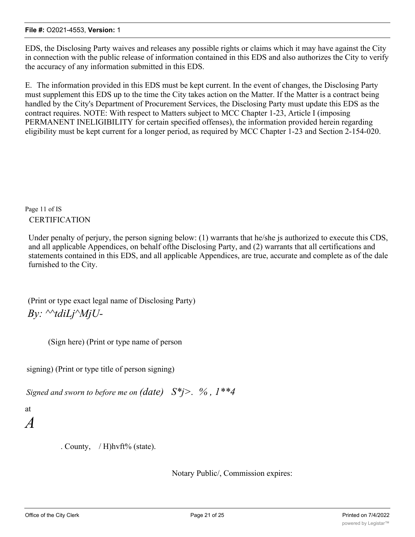EDS, the Disclosing Party waives and releases any possible rights or claims which it may have against the City in connection with the public release of information contained in this EDS and also authorizes the City to verify the accuracy of any information submitted in this EDS.

E. The information provided in this EDS must be kept current. In the event of changes, the Disclosing Party must supplement this EDS up to the time the City takes action on the Matter. If the Matter is a contract being handled by the City's Department of Procurement Services, the Disclosing Party must update this EDS as the contract requires. NOTE: With respect to Matters subject to MCC Chapter 1-23, Article I (imposing PERMANENT INELIGIBILITY for certain specified offenses), the information provided herein regarding eligibility must be kept current for a longer period, as required by MCC Chapter 1-23 and Section 2-154-020.

Page 11 of IS **CERTIFICATION** 

Under penalty of perjury, the person signing below: (1) warrants that he/she js authorized to execute this CDS, and all applicable Appendices, on behalf ofthe Disclosing Party, and (2) warrants that all certifications and statements contained in this EDS, and all applicable Appendices, are true, accurate and complete as of the dale furnished to the City.

(Print or type exact legal name of Disclosing Party) *By: ^^tdiLj^MjU-*

(Sign here) (Print or type name of person

signing) (Print or type title of person signing)

*Signed and sworn to before me on (date) S\*j>. % , 1\*\*4*

- at
- *A*

. County,  $/H$ )hvft% (state).

Notary Public/, Commission expires: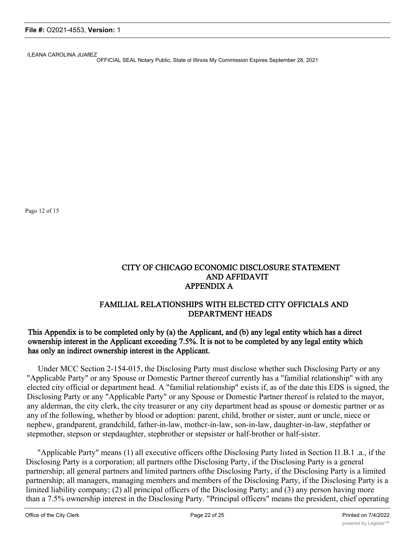/LEANA CAROLINA JUAflEZ

OFFICIAL SEAL Notary Public, State ol Illinois My Commission Expires September 28, 2021

Pago 12 of 15

## CITY OF CHICAGO ECONOMIC DISCLOSURE STATEMENT AND AFFIDAVIT APPENDIX A

## FAMILIAL RELATIONSHIPS WITH ELECTED CITY OFFICIALS AND DEPARTMENT HEADS

## This Appendix is to be completed only by (a) the Applicant, and (b) any legal entity which has a direct ownership interest in the Applicant exceeding 7.5%. It is not to be completed by any legal entity which has only an indirect ownership interest in the Applicant.

Under MCC Section 2-154-015, the Disclosing Party must disclose whether such Disclosing Party or any "Applicable Party" or any Spouse or Domestic Partner thereof currently has a "familial relationship" with any elected city official or department head. A "familial relationship" exists if, as of the date this EDS is signed, the Disclosing Party or any "Applicable Party" or any Spouse or Domestic Partner thereof is related to the mayor, any alderman, the city clerk, the city treasurer or any city department head as spouse or domestic partner or as any of the following, whether by blood or adoption: parent, child, brother or sister, aunt or uncle, niece or nephew, grandparent, grandchild, father-in-law, mothcr-in-law, son-in-law, daughter-in-law, stepfather or stepmother, stepson or stepdaughter, stepbrother or stepsister or half-brother or half-sister.

"Applicable Party" means (1) all executive officers ofthe Disclosing Party listed in Section I1.B.1 .a., if the Disclosing Party is a corporation; all partners ofthe Disclosing Party, if the Disclosing Party is a general partnership; all general partners and limited partners ofthe Disclosing Party, if the Disclosing Party is a limited partnership; all managers, managing members and members of the Disclosing Party, if the Disclosing Party is a limited liability company; (2) all principal officers of the Disclosing Party; and (3) any person having more than a 7.5% ownership interest in the Disclosing Party. "Principal officers" means the president, chief operating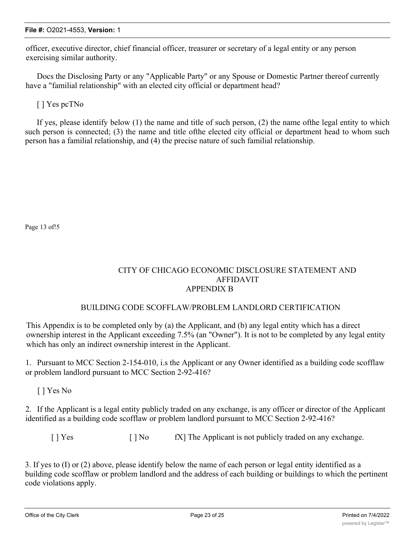officer, executive director, chief financial officer, treasurer or secretary of a legal entity or any person exercising similar authority.

Docs the Disclosing Party or any "Applicable Party" or any Spouse or Domestic Partner thereof currently have a "familial relationship" with an elected city official or department head?

[ ] Yes pcTNo

If yes, please identify below (1) the name and title of such person, (2) the name ofthe legal entity to which such person is connected; (3) the name and title ofthe elected city official or department head to whom such person has a familial relationship, and (4) the precise nature of such familial relationship.

Page 13 of!5

## CITY OF CHICAGO ECONOMIC DISCLOSURE STATEMENT AND AFFIDAVIT APPENDIX B

### BUILDING CODE SCOFFLAW/PROBLEM LANDLORD CERTIFICATION

This Appendix is to be completed only by (a) the Applicant, and (b) any legal entity which has a direct ownership interest in the Applicant exceeding 7.5% (an "Owner"). It is not to be completed by any legal entity which has only an indirect ownership interest in the Applicant.

1. Pursuant to MCC Section 2-154-010, i.s the Applicant or any Owner identified as a building code scofflaw or problem landlord pursuant to MCC Section 2-92-416?

[ ] Yes No

2. If the Applicant is a legal entity publicly traded on any exchange, is any officer or director of the Applicant identified as a building code scofflaw or problem landlord pursuant to MCC Section 2-92-416?

[ ] Yes [ ] No fX] The Applicant is not publicly traded on any exchange.

3. If yes to (I) or (2) above, please identify below the name of each person or legal entity identified as a building code scofflaw or problem landlord and the address of each building or buildings to which the pertinent code violations apply.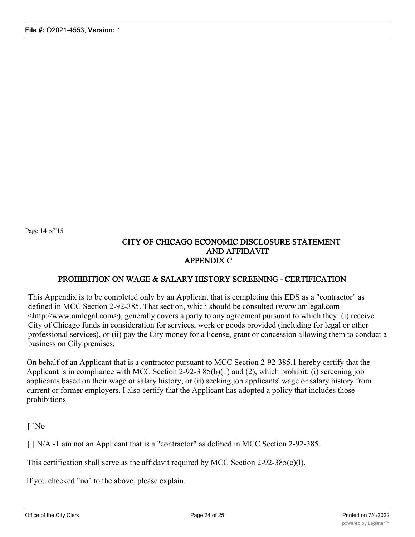Page 14 of"15

## CITY OF CHICAGO ECONOMIC DISCLOSURE STATEMENT AND AFFIDAVIT APPENDIX C

## PROHIBITION ON WAGE & SALARY HISTORY SCREENING - CERTIFICATION

This Appendix is to be completed only by an Applicant that is completing this EDS as a "contractor" as defined in MCC Section 2-92-385. That section, which should be consulted (www.amlegal.com <http://www.amlegal.com>), generally covers a party to any agreement pursuant to which they: (i) receive City of Chicago funds in consideration for services, work or goods provided (including for legal or other professional services), or (ii) pay the City money for a license, grant or concession allowing them to conduct a business on Cily premises.

On behalf of an Applicant that is a contractor pursuant to MCC Section 2-92-385,1 hereby certify that the Applicant is in compliance with MCC Section 2-92-3 85(b)(1) and (2), which prohibit: (i) screening job applicants based on their wage or salary history, or (ii) seeking job applicants' wage or salary history from current or former employers. I also certify that the Applicant has adopted a policy that includes those prohibitions.

 $\lceil$   $\rceil$ No

[  $| N/A -1$  am not an Applicant that is a "contractor" as defmed in MCC Section 2-92-385.

This certification shall serve as the affidavit required by MCC Section 2-92-385(c)(l),

If you checked "no" to the above, please explain.